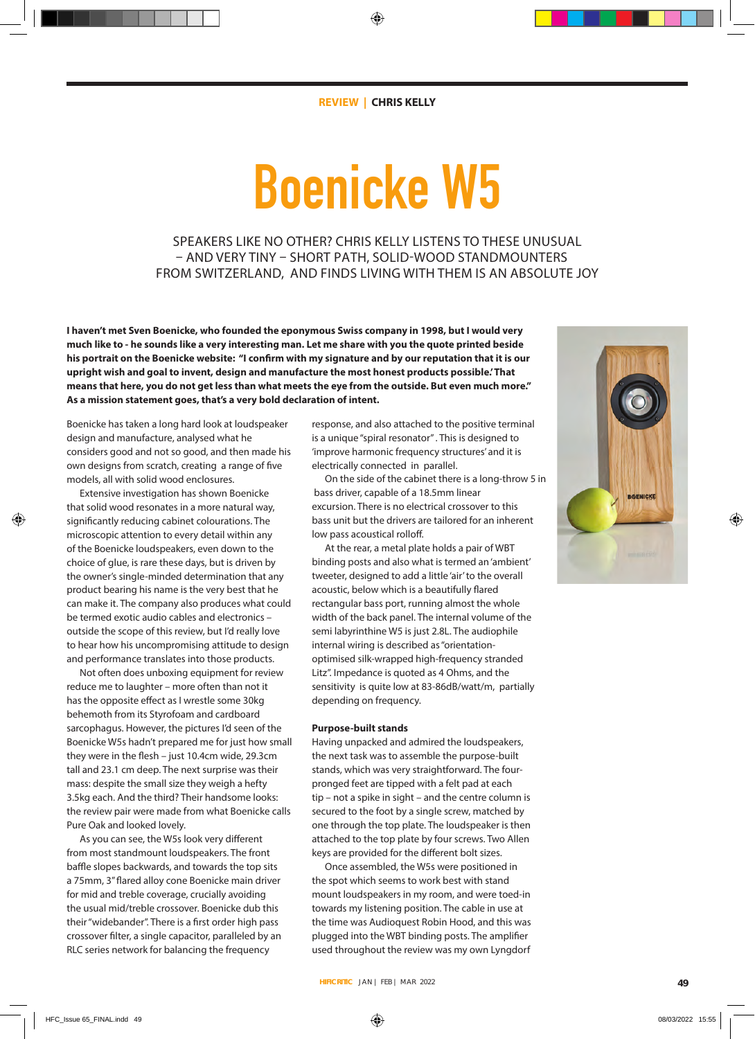# **Boenicke W5**

SPEAKERS LIKE NO OTHER? CHRIS KELLY LISTENS TO THESE UNUSUAL – AND VERY TINY – SHORT PATH, SOLID-WOOD STANDMOUNTERS FROM SWITZERLAND, AND FINDS LIVING WITH THEM IS AN ABSOLUTE JOY

**I haven't met Sven Boenicke, who founded the eponymous Swiss company in 1998, but I would very much like to - he sounds like a very interesting man. Let me share with you the quote printed beside his portrait on the Boenicke website: "I confirm with my signature and by our reputation that it is our upright wish and goal to invent, design and manufacture the most honest products possible.' That means that here, you do not get less than what meets the eye from the outside. But even much more." As a mission statement goes, that's a very bold declaration of intent.** 

Boenicke has taken a long hard look at loudspeaker design and manufacture, analysed what he considers good and not so good, and then made his own designs from scratch, creating a range of five models, all with solid wood enclosures.

Extensive investigation has shown Boenicke that solid wood resonates in a more natural way, significantly reducing cabinet colourations. The microscopic attention to every detail within any of the Boenicke loudspeakers, even down to the choice of glue, is rare these days, but is driven by the owner's single-minded determination that any product bearing his name is the very best that he can make it. The company also produces what could be termed exotic audio cables and electronics – outside the scope of this review, but I'd really love to hear how his uncompromising attitude to design and performance translates into those products.

Not often does unboxing equipment for review reduce me to laughter – more often than not it has the opposite effect as I wrestle some 30kg behemoth from its Styrofoam and cardboard sarcophagus. However, the pictures I'd seen of the Boenicke W5s hadn't prepared me for just how small they were in the flesh – just 10.4cm wide, 29.3cm tall and 23.1 cm deep. The next surprise was their mass: despite the small size they weigh a hefty 3.5kg each. And the third? Their handsome looks: the review pair were made from what Boenicke calls Pure Oak and looked lovely.

As you can see, the W5s look very different from most standmount loudspeakers. The front baffle slopes backwards, and towards the top sits a 75mm, 3" flared alloy cone Boenicke main driver for mid and treble coverage, crucially avoiding the usual mid/treble crossover. Boenicke dub this their "widebander". There is a first order high pass crossover filter, a single capacitor, paralleled by an RLC series network for balancing the frequency

response, and also attached to the positive terminal is a unique "spiral resonator" . This is designed to 'improve harmonic frequency structures' and it is electrically connected in parallel.

On the side of the cabinet there is a long-throw 5 in bass driver, capable of a 18.5mm linear excursion. There is no electrical crossover to this bass unit but the drivers are tailored for an inherent low pass acoustical rolloff.

At the rear, a metal plate holds a pair of WBT binding posts and also what is termed an 'ambient' tweeter, designed to add a little 'air' to the overall acoustic, below which is a beautifully flared rectangular bass port, running almost the whole width of the back panel. The internal volume of the semi labyrinthine W5 is just 2.8L. The audiophile internal wiring is described as "orientationoptimised silk-wrapped high-frequency stranded Litz". Impedance is quoted as 4 Ohms, and the sensitivity is quite low at 83-86dB/watt/m, partially depending on frequency.

# **Purpose-built stands**

Having unpacked and admired the loudspeakers, the next task was to assemble the purpose-built stands, which was very straightforward. The fourpronged feet are tipped with a felt pad at each tip – not a spike in sight – and the centre column is secured to the foot by a single screw, matched by one through the top plate. The loudspeaker is then attached to the top plate by four screws. Two Allen keys are provided for the different bolt sizes.

Once assembled, the W5s were positioned in the spot which seems to work best with stand mount loudspeakers in my room, and were toed-in towards my listening position. The cable in use at the time was Audioquest Robin Hood, and this was plugged into the WBT binding posts. The amplifier used throughout the review was my own Lyngdorf